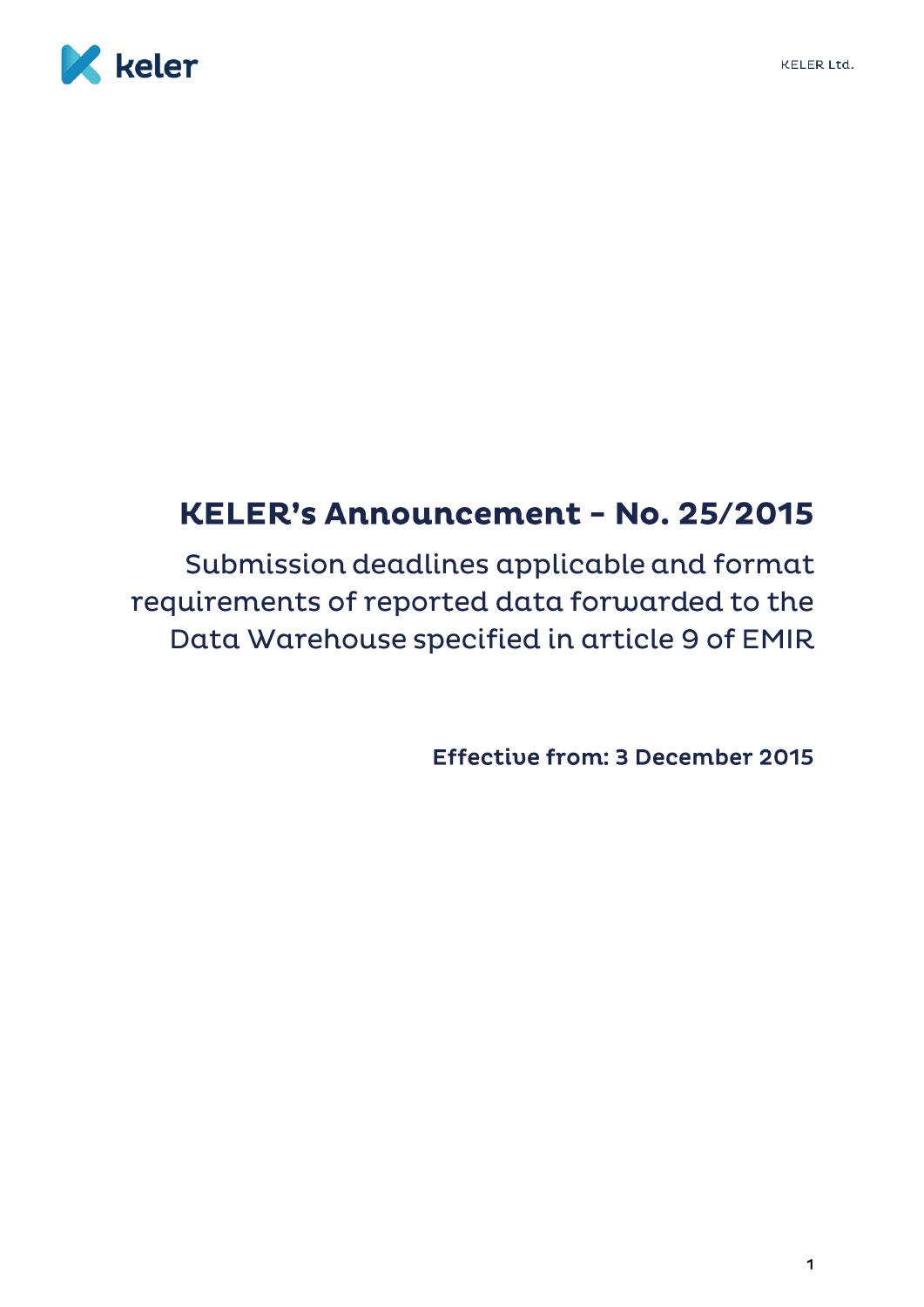

# KELER's Announcement - No. 25/2015

Submission deadlines applicable and format requirements of reported data forwarded to the Data Warehouse specified in article 9 of EMIR

**Effective from: 3 December 2015**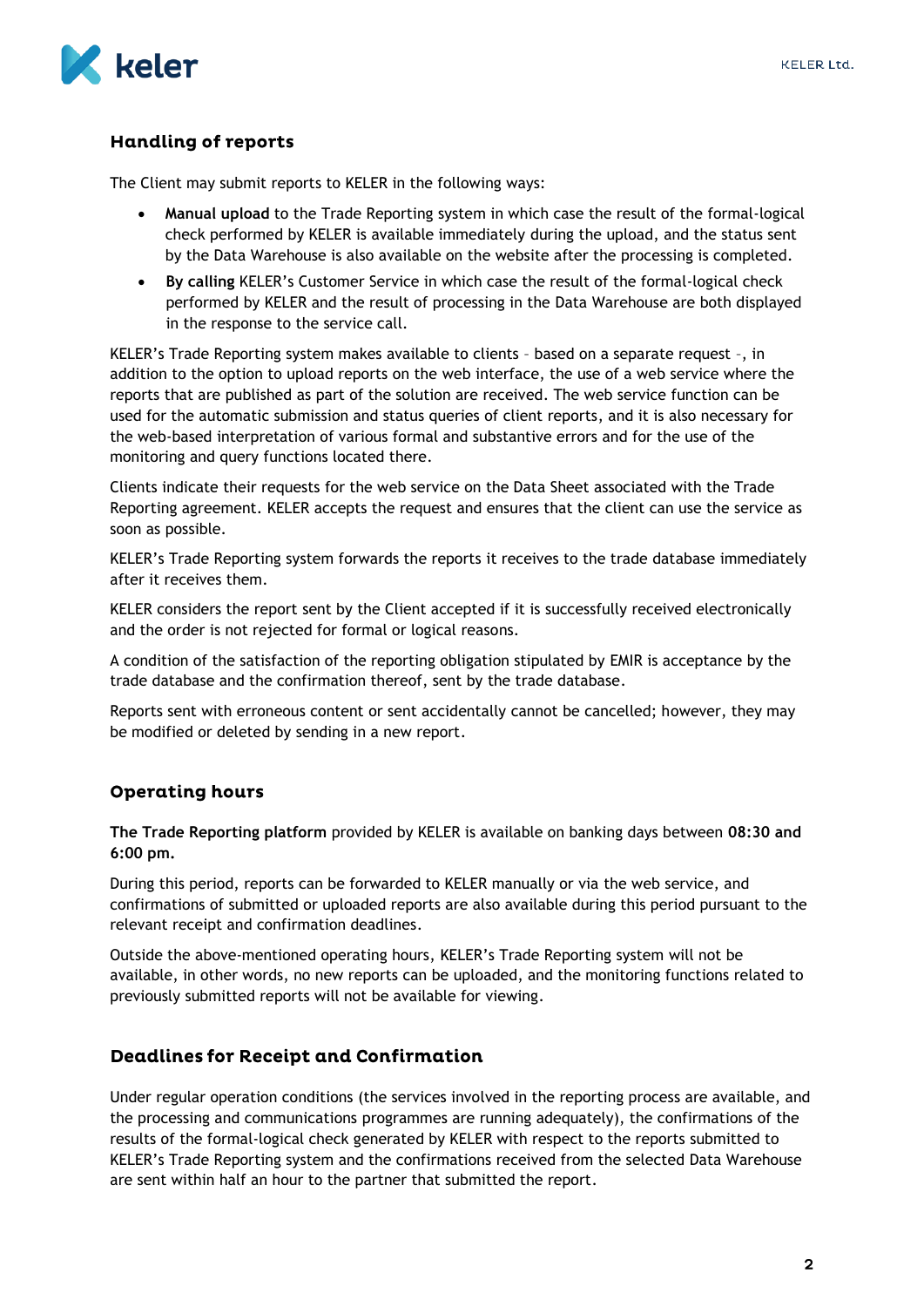

## **Handling of reports**

The Client may submit reports to KELER in the following ways:

- **Manual upload** to the Trade Reporting system in which case the result of the formal-logical check performed by KELER is available immediately during the upload, and the status sent by the Data Warehouse is also available on the website after the processing is completed.
- **By calling** KELER's Customer Service in which case the result of the formal-logical check performed by KELER and the result of processing in the Data Warehouse are both displayed in the response to the service call.

KELER's Trade Reporting system makes available to clients – based on a separate request –, in addition to the option to upload reports on the web interface, the use of a web service where the reports that are published as part of the solution are received. The web service function can be used for the automatic submission and status queries of client reports, and it is also necessary for the web-based interpretation of various formal and substantive errors and for the use of the monitoring and query functions located there.

Clients indicate their requests for the web service on the Data Sheet associated with the Trade Reporting agreement. KELER accepts the request and ensures that the client can use the service as soon as possible.

KELER's Trade Reporting system forwards the reports it receives to the trade database immediately after it receives them.

KELER considers the report sent by the Client accepted if it is successfully received electronically and the order is not rejected for formal or logical reasons.

A condition of the satisfaction of the reporting obligation stipulated by EMIR is acceptance by the trade database and the confirmation thereof, sent by the trade database.

Reports sent with erroneous content or sent accidentally cannot be cancelled; however, they may be modified or deleted by sending in a new report.

### **Operating hours**

**The Trade Reporting platform** provided by KELER is available on banking days between **08:30 and 6:00 pm.**

During this period, reports can be forwarded to KELER manually or via the web service, and confirmations of submitted or uploaded reports are also available during this period pursuant to the relevant receipt and confirmation deadlines.

Outside the above-mentioned operating hours, KELER's Trade Reporting system will not be available, in other words, no new reports can be uploaded, and the monitoring functions related to previously submitted reports will not be available for viewing.

### **Deadlines for Receipt and Confirmation**

Under regular operation conditions (the services involved in the reporting process are available, and the processing and communications programmes are running adequately), the confirmations of the results of the formal-logical check generated by KELER with respect to the reports submitted to KELER's Trade Reporting system and the confirmations received from the selected Data Warehouse are sent within half an hour to the partner that submitted the report.